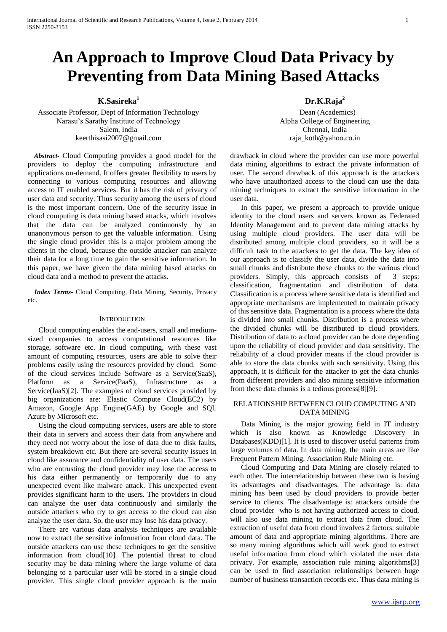# **An Approach to Improve Cloud Data Privacy by Preventing from Data Mining Based Attacks**

**K.Sasireka<sup>1</sup>**

Associate Professor, Dept of Information Technology Narasu's Sarathy Institute of Technology Salem, India keerthisasi2007@gmail.com

*Abstract***-** Cloud Computing provides a good model for the providers to deploy the computing infrastructure and applications on-demand. It offers greater flexibility to users by connecting to various computing resources and allowing access to IT enabled services. But it has the risk of privacy of user data and security. Thus security among the users of cloud is the most important concern. One of the security issue in cloud computing is data mining based attacks, which involves that the data can be analyzed continuously by an unanonymous person to get the valuable information. Using the single cloud provider this is a major problem among the clients in the cloud, because the outside attacker can analyze their data for a long time to gain the sensitive information. In this paper, we have given the data mining based attacks on cloud data and a method to prevent the attacks.

*Index Terms***-** Cloud Computing, Data Mining, Security, Privacy etc.

## **INTRODUCTION**

Cloud computing enables the end-users, small and mediumsized companies to access computational resources like storage, software etc. In cloud computing, with these vast amount of computing resources, users are able to solve their problems easily using the resources provided by cloud. Some of the cloud services include Software as a Service(SaaS), Platform as a Service(PaaS), Infrastructure as a Service(IaaS)[2]. The examples of cloud services provided by big organizations are: Elastic Compute Cloud(EC2) by Amazon, Google App Engine(GAE) by Google and SQL Azure by Microsoft etc.

Using the cloud computing services, users are able to store their data in servers and access their data from anywhere and they need not worry about the lose of data due to disk faults, system breakdown etc. But there are several security issues in cloud like assurance and confidentiality of user data. The users who are entrusting the cloud provider may lose the access to his data either permanently or temporarily due to any unexpected event like malware attack. This unexpected event provides significant harm to the users. The providers in cloud can analyze the user data continuously and similarly the outside attackers who try to get access to the cloud can also analyze the user data. So, the user may lose his data privacy.

There are various data analysis techniques are available now to extract the sensitive information from cloud data. The outside attackers can use these techniques to get the sensitive information from cloud[10]. The potential threat to cloud security may be data mining where the large volume of data belonging to a particular user will be stored in a single cloud provider. This single cloud provider approach is the main

**Dr.K.Raja<sup>2</sup>**

Dean (Academics) Alpha College of Engineering Chennai, India raja\_koth@yahoo.co.in

drawback in cloud where the provider can use more powerful data mining algorithms to extract the private information of user. The second drawback of this approach is the attackers who have unauthorized access to the cloud can use the data mining techniques to extract the sensitive information in the user data.

In this paper, we present a approach to provide unique identity to the cloud users and servers known as Federated Identity Management and to prevent data mining attacks by using multiple cloud providers. The user data will be distributed among multiple cloud providers, so it will be a difficult task to the attackers to get the data. The key idea of our approach is to classify the user data, divide the data into small chunks and distribute these chunks to the various cloud providers. Simply, this approach consists of 3 steps: classification, fragmentation and distribution of data. Classification is a process where sensitive data is identified and appropriate mechanisms are implemented to maintain privacy of this sensitive data. Fragmentation is a process where the data is divided into small chunks. Distribution is a process where the divided chunks will be distributed to cloud providers. Distribution of data to a cloud provider can be done depending upon the reliability of cloud provider and data sensitivity. The reliability of a cloud provider means if the cloud provider is able to store the data chunks with such sensitivity. Using this approach, it is difficult for the attacker to get the data chunks from different providers and also mining sensitive information from these data chunks is a tedious process[8][9].

## RELATIONSHIP BETWEEN CLOUD COMPUTING AND DATA MINING

Data Mining is the major growing field in IT industry which is also known as Knowledge Discovery in Databases(KDD)[1]. It is used to discover useful patterns from large volumes of data. In data mining, the main areas are like Frequent Pattern Mining, Association Rule Mining etc.

Cloud Computing and Data Mining are closely related to each other. The interrelationship between these two is having its advantages and disadvantages. The advantage is: data mining has been used by cloud providers to provide better service to clients. The disadvantage is: attackers outside the cloud provider who is not having authorized access to cloud, will also use data mining to extract data from cloud. The extraction of useful data from cloud involves 2 factors: suitable amount of data and appropriate mining algorithms. There are so many mining algorithms which will work good to extract useful information from cloud which violated the user data privacy. For example, association rule mining algorithms[3] can be used to find association relationships between huge number of business transaction records etc. Thus data mining is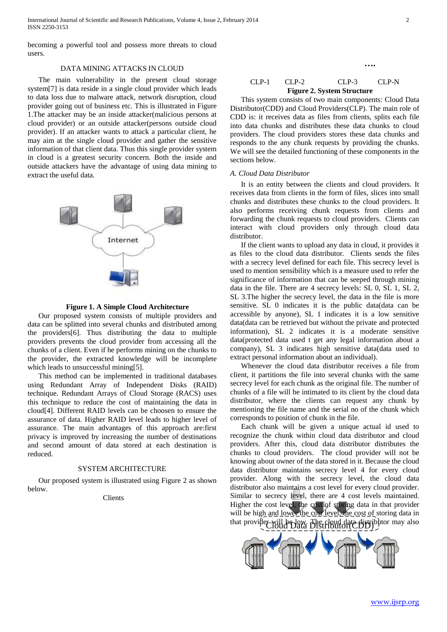International Journal of Scientific and Research Publications, Volume 4, Issue 2, February 2014 2 ISSN 2250-3153

becoming a powerful tool and possess more threats to cloud users.

## DATA MINING ATTACKS IN CLOUD

The main vulnerability in the present cloud storage system[7] is data reside in a single cloud provider which leads to data loss due to malware attack, network disruption, cloud provider going out of business etc. This is illustrated in Figure 1.The attacker may be an inside attacker(malicious persons at cloud provider) or an outside attacker(persons outside cloud provider). If an attacker wants to attack a particular client, he may aim at the single cloud provider and gather the sensitive information of that client data. Thus this single provider system in cloud is a greatest security concern. Both the inside and outside attackers have the advantage of using data mining to extract the useful data.



**Figure 1. A Simple Cloud Architecture** 

Our proposed system consists of multiple providers and data can be splitted into several chunks and distributed among the providers[6]. Thus distributing the data to multiple providers prevents the cloud provider from accessing all the chunks of a client. Even if he performs mining on the chunks to the provider, the extracted knowledge will be incomplete which leads to unsuccessful mining[5].

This method can be implemented in traditional databases using Redundant Array of Independent Disks (RAID) technique. Redundant Arrays of Cloud Storage (RACS) uses this technique to reduce the cost of maintaining the data in cloud[4]. Different RAID levels can be choosen to ensure the assurance of data. Higher RAID level leads to higher level of assurance. The main advantages of this approach are:first privacy is improved by increasing the number of destinations and second amount of data stored at each destination is reduced.

#### SYSTEM ARCHITECTURE

Our proposed system is illustrated using Figure 2 as shown below.

Clients

# CLP-1 CLP-2 CLP-3 CLP-N **Figure 2. System Structure**

**….**

This system consists of two main components: Cloud Data Distributor(CDD) and Cloud Providers(CLP). The main role of CDD is: it receives data as files from clients, splits each file into data chunks and distributes these data chunks to cloud providers. The cloud providers stores these data chunks and responds to the any chunk requests by providing the chunks. We will see the detailed functioning of these components in the sections below.

#### *A. Cloud Data Distributor*

It is an entity between the clients and cloud providers. It receives data from clients in the form of files, slices into small chunks and distributes these chunks to the cloud providers. It also performs receiving chunk requests from clients and forwarding the chunk requests to cloud providers. Clients can interact with cloud providers only through cloud data distributor.

If the client wants to upload any data in cloud, it provides it as files to the cloud data distributor. Clients sends the files with a secrecy level defined for each file. This secrecy level is used to mention sensibility which is a measure used to refer the significance of information that can be seeped through mining data in the file. There are 4 secrecy levels: SL 0, SL 1, SL 2, SL 3.The higher the secrecy level, the data in the file is more sensitive. SL 0 indicates it is the public data(data can be accessible by anyone), SL 1 indicates it is a low sensitive data(data can be retrieved but without the private and protected information), SL 2 indicates it is a moderate sensitive data(protected data used t get any legal information about a company), SL 3 indicates high sensitive data(data used to extract personal information about an individual).

Whenever the cloud data distributor receives a file from client, it partitions the file into several chunks with the same secrecy level for each chunk as the original file. The number of chunks of a file will be intimated to its client by the cloud data distributor, where the clients can request any chunk by mentioning the file name and the serial no of the chunk which corresponds to position of chunk in the file.

that provider will be low. The cloud data distributor may also Each chunk will be given a unique actual id used to recognize the chunk within cloud data distributor and cloud providers. After this, cloud data distributor distributes the chunks to cloud providers. The cloud provider will not be knowing about owner of the data stored in it. Because the cloud data distributor maintains secrecy level 4 for every cloud provider. Along with the secrecy level, the cloud data distributor also maintains a cost level for every cloud provider. Similar to secrecy level, there are 4 cost levels maintained. Higher the cost level, the cost of storing data in that provider will be high and lower the cost level, the cost of storing data in

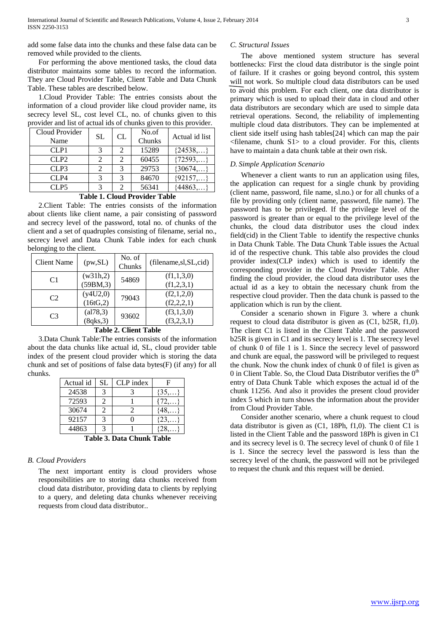add some false data into the chunks and these false data can be removed while provided to the clients.

For performing the above mentioned tasks, the cloud data distributor maintains some tables to record the information. They are Cloud Provider Table, Client Table and Data Chunk Table. These tables are described below.

1.Cloud Provider Table: The entries consists about the information of a cloud provider like cloud provider name, its secrecy level SL, cost level CL, no. of chunks given to this provider and list of actual ids of chunks given to this provider.

| Cloud Provider<br>Name | SL | CL | No.of<br>Chunks | Actual id list |
|------------------------|----|----|-----------------|----------------|
| CLP1                   |    |    | 15289           | ${24538,}$     |
| CLP2                   |    |    | 60455           | ${72593,}$     |
| CLP3                   |    |    | 29753           | ${30674,}$     |
| CLP4                   |    |    | 84670           | ${92157,}$     |
| CLP5                   |    |    | 56341           | ${44863,}$     |

**Table 1. Cloud Provider Table**

2.Client Table: The entries consists of the information about clients like client name, a pair consisting of password and secrecy level of the password, total no. of chunks of the client and a set of quadruples consisting of filename, serial no., secrecy level and Data Chunk Table index for each chunk belonging to the client.

| <b>Client Name</b> | (pw, SL)              | No. of<br>Chunks | (filename,sl, SL, cid)   |  |  |  |
|--------------------|-----------------------|------------------|--------------------------|--|--|--|
| C1                 | (w31h,2)<br>(59BM, 3) | 54869            | (f1,1,3,0)<br>(f1,2,3,1) |  |  |  |
| C <sub>2</sub>     | (y4U2,0)              | 79043            | (f2,1,2,0)               |  |  |  |
|                    | (16tG, 2)             |                  | (f2,2,2,1)               |  |  |  |
| C <sub>3</sub>     | (al78,3)<br>(8qks,3)  | 93602            | (f3,1,3,0)<br>(f3,2,3,1) |  |  |  |
|                    |                       |                  |                          |  |  |  |

#### **Table 2. Client Table**

3.Data Chunk Table:The entries consists of the information about the data chunks like actual id, SL, cloud provider table index of the present cloud provider which is storing the data chunk and set of positions of false data bytes(F) (if any) for all chunks.

| Actual id                                   | SL | CLP index | F         |  |  |
|---------------------------------------------|----|-----------|-----------|--|--|
| 24538                                       |    |           | $\{35,\}$ |  |  |
| 72593                                       |    |           | 172       |  |  |
| 30674                                       |    |           |           |  |  |
| 92157                                       |    |           | {23       |  |  |
| 44863                                       |    |           |           |  |  |
| $T$ . I. I. $\gamma$<br>1. M.L.<br>D.L. 01. |    |           |           |  |  |

**Table 3. Data Chunk Table**

## *B. Cloud Providers*

The next important entity is cloud providers whose responsibilities are to storing data chunks received from cloud data distributor, providing data to clients by replying to a query, and deleting data chunks whenever receiving requests from cloud data distributor..

# *C. Structural Issues*

The above mentioned system structure has several bottlenecks: First the cloud data distributor is the single point of failure. If it crashes or going beyond control, this system will not work. So multiple cloud data distributors can be used to avoid this problem. For each client, one data distributor is primary which is used to upload their data in cloud and other data distributors are secondary which are used to simple data retrieval operations. Second, the reliability of implementing multiple cloud data distributors. They can be implemented at client side itself using hash tables[24] which can map the pair <filename, chunk S1> to a cloud provider. For this, clients have to maintain a data chunk table at their own risk.

### *D. Simple Application Scenario*

Whenever a client wants to run an application using files, the application can request for a single chunk by providing (client name, password, file name, sl.no.) or for all chunks of a file by providing only (client name, password, file name). The password has to be privileged. If the privilege level of the password is greater than or equal to the privilege level of the chunks, the cloud data distributor uses the cloud index field(cid) in the Client Table to identify the respective chunks in Data Chunk Table. The Data Chunk Table issues the Actual id of the respective chunk. This table also provides the cloud provider index(CLP index) which is used to identify the corresponding provider in the Cloud Provider Table. After finding the cloud provider, the cloud data distributor uses the actual id as a key to obtain the necessary chunk from the respective cloud provider. Then the data chunk is passed to the application which is run by the client.

Consider a scenario shown in Figure 3. where a chunk request to cloud data distributor is given as (C1, b25R, f1,0). The client C1 is listed in the Client Table and the password b25R is given in C1 and its secrecy level is 1. The secrecy level of chunk 0 of file 1 is 1. Since the secrecy level of password and chunk are equal, the password will be privileged to request the chunk. Now the chunk index of chunk 0 of file1 is given as 0 in Client Table. So, the Cloud Data Distributor verifies the  $0<sup>th</sup>$ entry of Data Chunk Table which exposes the actual id of the chunk 11256. And also it provides the present cloud provider index 5 which in turn shows the information about the provider from Cloud Provider Table.

Consider another scenario, where a chunk request to cloud data distributor is given as (C1, 18Ph, f1,0). The client C1 is listed in the Client Table and the password 18Ph is given in C1 and its secrecy level is 0. The secrecy level of chunk 0 of file 1 is 1. Since the secrecy level the password is less than the secrecy level of the chunk, the password will not be privileged to request the chunk and this request will be denied.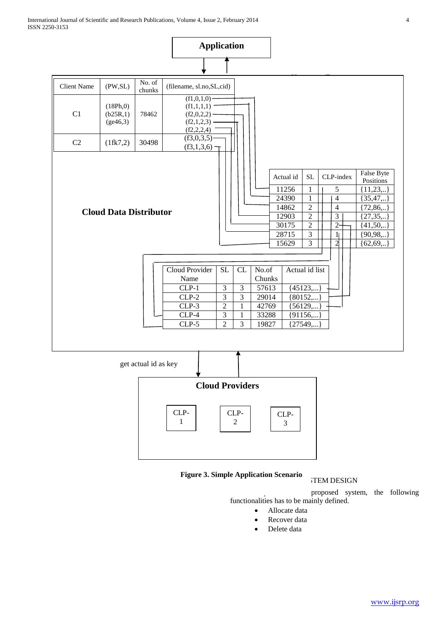



# **Figure 3. Simple Application Scenario**

# **V.TEM DESIGN**

proposed system, the following functionalities has to be mainly defined.

- Allocate data
- Recover data
- Delete data